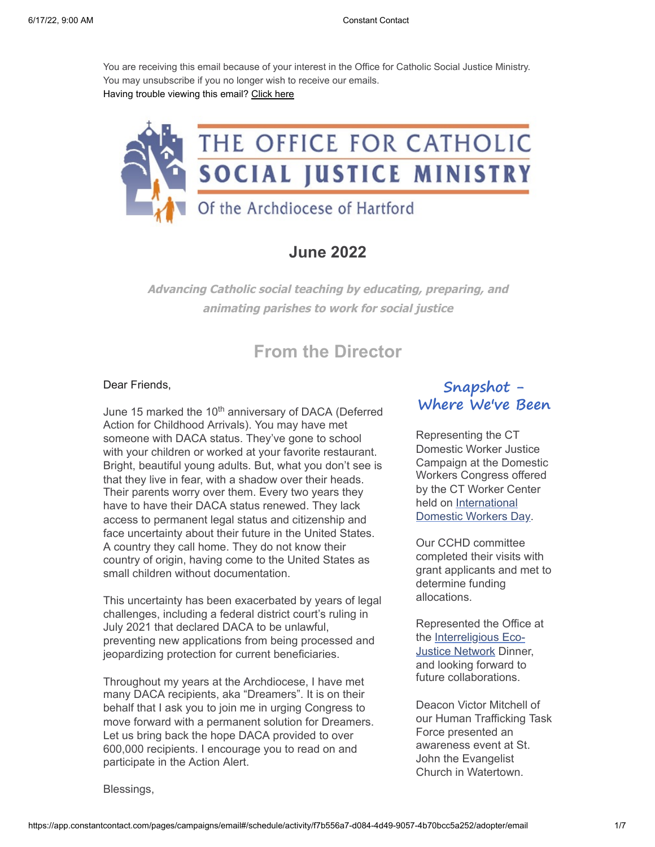You are receiving this email because of your interest in the Office for Catholic Social Justice Ministry. You may unsubscribe if you no longer wish to receive our emails. Having trouble viewing this email? [Click here](https://em-ui.constantcontact.com/em-ui/em/page/em-ui/email#edit/activity/6eaa3631-7587-4c36-b8b2-60d073c61943)



### **June 2022**

**Advancing Catholic social teaching by educating, preparing, and animating parishes to work for social justice**

# **From the Director**

### Dear Friends,

June 15 marked the 10<sup>th</sup> anniversary of DACA (Deferred Action for Childhood Arrivals). You may have met someone with DACA status. They've gone to school with your children or worked at your favorite restaurant. Bright, beautiful young adults. But, what you don't see is that they live in fear, with a shadow over their heads. Their parents worry over them. Every two years they have to have their DACA status renewed. They lack access to permanent legal status and citizenship and face uncertainty about their future in the United States. A country they call home. They do not know their country of origin, having come to the United States as small children without documentation.

This uncertainty has been exacerbated by years of legal challenges, including a federal district court's ruling in July 2021 that declared DACA to be unlawful, preventing new applications from being processed and jeopardizing protection for current beneficiaries.

Throughout my years at the Archdiocese, I have met many DACA recipients, aka "Dreamers". It is on their behalf that I ask you to join me in urging Congress to move forward with a permanent solution for Dreamers. Let us bring back the hope DACA provided to over 600,000 recipients. I encourage you to read on and participate in the Action Alert.

### **Snapshot - Where We've Been**

Representing the CT Domestic Worker Justice Campaign at the Domestic Workers Congress offered by the CT Worker Center held on International [Domestic Workers Day](https://www.domesticworkers.org/campaign-updates/celebrate-international-domestic-workers-day-today/).

Our CCHD committee completed their visits with grant applicants and met to determine funding allocations.

Represented the Office at [the Interreligious Eco-](https://irejn.org/)Justice Network Dinner, and looking forward to future collaborations.

Deacon Victor Mitchell of our Human Trafficking Task Force presented an awareness event at St. John the Evangelist Church in Watertown.

Blessings,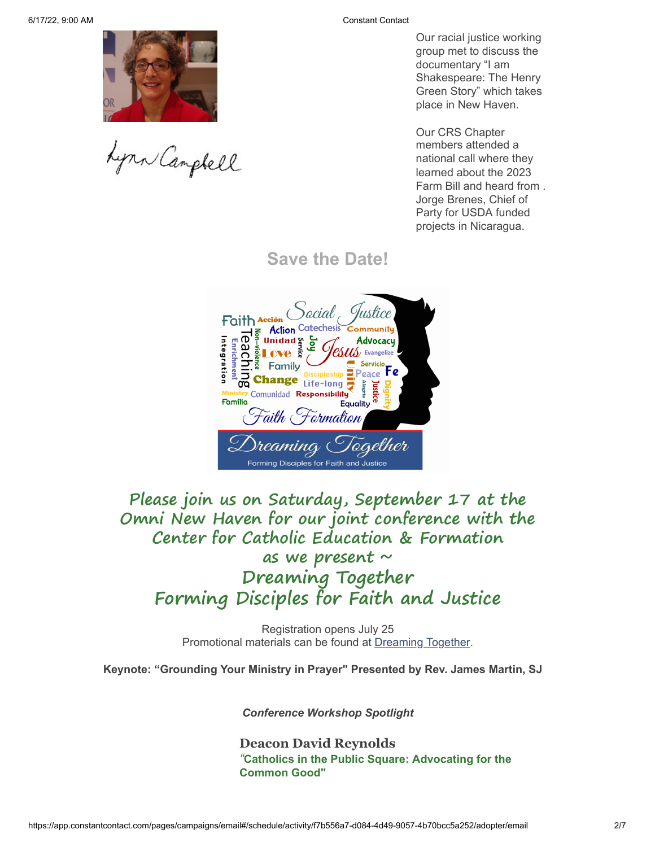Lynn Campbell

Our racial justice working group met to discuss the documentary "I am Shakespeare: The Henry Green Story" which takes place in New Haven.

Our CRS Chapter members attended a national call where they learned about the 2023 Farm Bill and heard from . Jorge Brenes, Chief of Party for USDA funded projects in Nicaragua.

**Save the Date!**



**Please join us on Saturday, September 17 at the Omni New Haven for our joint conference with the Center for Catholic Education & Formation as we present ~ Dreaming Together Forming Disciples for Faith and Justice**

> Registration opens July 25 Promotional materials can be found at [Dreaming Together](https://www.catholicedaohct.org/faith-formation/dreaming-together).

**Keynote: "Grounding Your Ministry in Prayer" Presented by Rev. James Martin, SJ**

*Conference Workshop Spotlight*

**Deacon David Reynolds** *"***Catholics in the Public Square: Advocating for the Common Good"**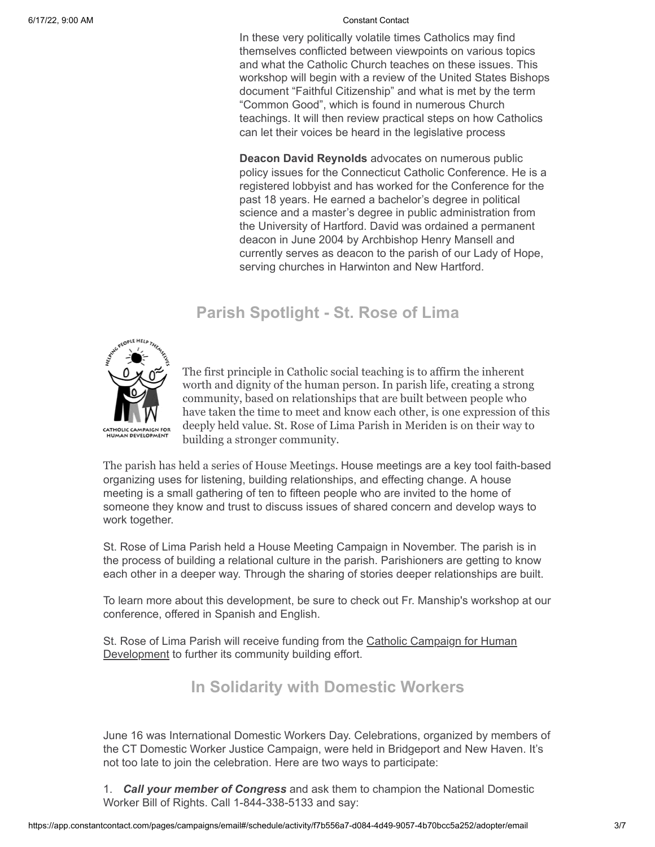In these very politically volatile times Catholics may find themselves conflicted between viewpoints on various topics and what the Catholic Church teaches on these issues. This workshop will begin with a review of the United States Bishops document "Faithful Citizenship" and what is met by the term "Common Good", which is found in numerous Church teachings. It will then review practical steps on how Catholics can let their voices be heard in the legislative process

**Deacon David Reynolds** advocates on numerous public policy issues for the Connecticut Catholic Conference. He is a registered lobbyist and has worked for the Conference for the past 18 years. He earned a bachelor's degree in political science and a master's degree in public administration from the University of Hartford. David was ordained a permanent deacon in June 2004 by Archbishop Henry Mansell and currently serves as deacon to the parish of our Lady of Hope, serving churches in Harwinton and New Hartford.

## **Parish Spotlight - St. Rose of Lima**



The first principle in Catholic social teaching is to affirm the inherent worth and dignity of the human person. In parish life, creating a strong community, based on relationships that are built between people who have taken the time to meet and know each other, is one expression of this deeply held value. St. Rose of Lima Parish in Meriden is on their way to building a stronger community.

The parish has held a series of House Meetings. House meetings are a key tool faith-based organizing uses for listening, building relationships, and effecting change. A house meeting is a small gathering of ten to fifteen people who are invited to the home of someone they know and trust to discuss issues of shared concern and develop ways to work together.

St. Rose of Lima Parish held a House Meeting Campaign in November. The parish is in the process of building a relational culture in the parish. Parishioners are getting to know each other in a deeper way. Through the sharing of stories deeper relationships are built.

To learn more about this development, be sure to check out Fr. Manship's workshop at our conference, offered in Spanish and English.

[St. Rose of Lima Parish will receive funding from the Catholic Campaign for Human](http://www.catholicsocialjustice.org/catholic-campaign-for-human-development.html) Development to further its community building effort.

## **In Solidarity with Domestic Workers**

June 16 was International Domestic Workers Day. Celebrations, organized by members of the CT Domestic Worker Justice Campaign, were held in Bridgeport and New Haven. It's not too late to join the celebration. Here are two ways to participate:

1. *Call your member of Congress* and ask them to champion the National Domestic Worker Bill of Rights. Call 1-844-338-5133 and say: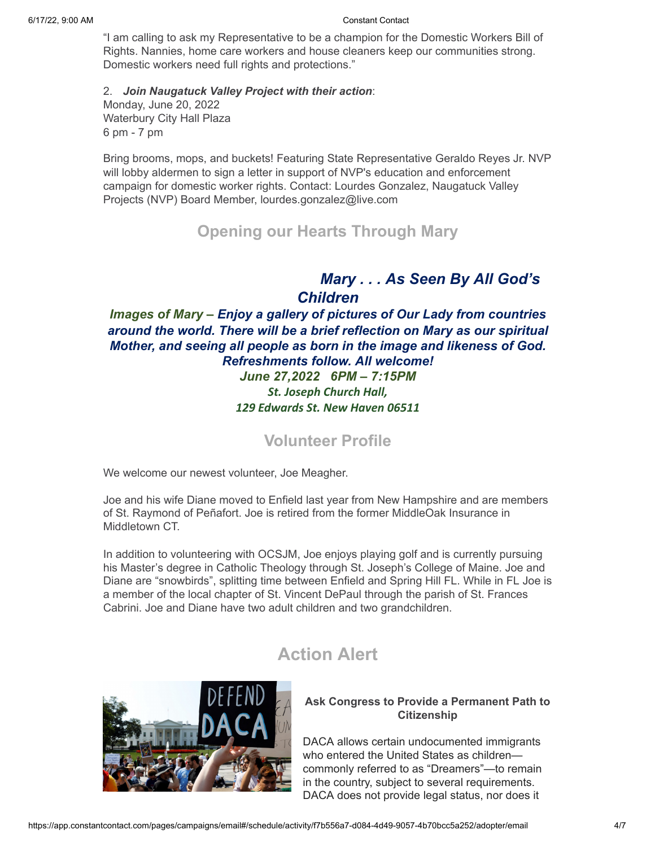"I am calling to ask my Representative to be a champion for the Domestic Workers Bill of Rights. Nannies, home care workers and house cleaners keep our communities strong. Domestic workers need full rights and protections."

2. *Join Naugatuck Valley Project with their action*: Monday, June 20, 2022 Waterbury City Hall Plaza 6 pm - 7 pm

Bring brooms, mops, and buckets! Featuring State Representative Geraldo Reyes Jr. NVP will lobby aldermen to sign a letter in support of NVP's education and enforcement campaign for domestic worker rights. Contact: Lourdes Gonzalez, Naugatuck Valley Projects (NVP) Board Member, lourdes.gonzalez@live.com

## **Opening our Hearts Through Mary**

### *Mary . . . As Seen By All God's Children*

*Images of Mary – Enjoy a gallery of pictures of Our Lady from countries around the world. There will be a brief reflection on Mary as our spiritual Mother, and seeing all people as born in the image and likeness of God. Refreshments follow. All welcome! June 27,2022 6PM – 7:15PM St. Joseph Church Hall, 129 Edwards St. New Haven 06511*

**Volunteer Profile**

We welcome our newest volunteer, Joe Meagher.

Joe and his wife Diane moved to Enfield last year from New Hampshire and are members of St. Raymond of Peñafort. Joe is retired from the former MiddleOak Insurance in Middletown CT.

In addition to volunteering with OCSJM, Joe enjoys playing golf and is currently pursuing his Master's degree in Catholic Theology through St. Joseph's College of Maine. Joe and Diane are "snowbirds", splitting time between Enfield and Spring Hill FL. While in FL Joe is a member of the local chapter of St. Vincent DePaul through the parish of St. Frances Cabrini. Joe and Diane have two adult children and two grandchildren.

## **Action Alert**



### **Ask Congress to Provide a Permanent Path to Citizenship**

DACA allows certain undocumented immigrants who entered the United States as children commonly referred to as "Dreamers"—to remain in the country, subject to several requirements. DACA does not provide legal status, nor does it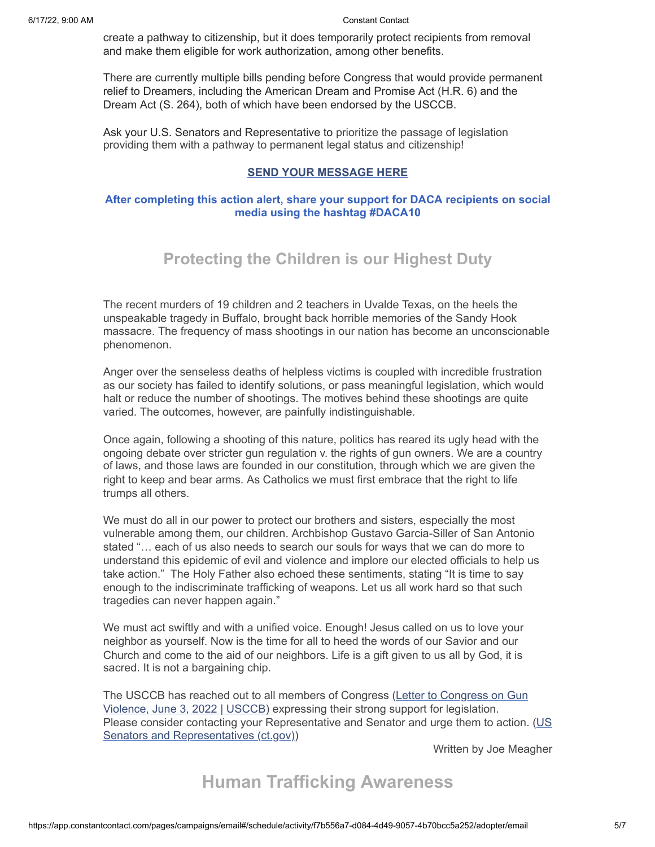create a pathway to citizenship, but it does temporarily protect recipients from removal and make them eligible for work authorization, among other benefits.

There are currently multiple bills pending before Congress that would provide permanent relief to Dreamers, including the American Dream and Promise Act (H.R. 6) and the Dream Act (S. 264), both of which have been endorsed by the USCCB.

Ask your U.S. Senators and Representative to prioritize the passage of legislation providing them with a pathway to permanent legal status and citizenship!

### **[SEND YOUR MESSAGE HERE](https://www.votervoice.net/USCCB/Campaigns/95728/Respond)**

### **After completing this action alert, share your support for DACA recipients on social media using the hashtag #DACA10**

### **Protecting the Children is our Highest Duty**

The recent murders of 19 children and 2 teachers in Uvalde Texas, on the heels the unspeakable tragedy in Buffalo, brought back horrible memories of the Sandy Hook massacre. The frequency of mass shootings in our nation has become an unconscionable phenomenon.

Anger over the senseless deaths of helpless victims is coupled with incredible frustration as our society has failed to identify solutions, or pass meaningful legislation, which would halt or reduce the number of shootings. The motives behind these shootings are quite varied. The outcomes, however, are painfully indistinguishable.

Once again, following a shooting of this nature, politics has reared its ugly head with the ongoing debate over stricter gun regulation v. the rights of gun owners. We are a country of laws, and those laws are founded in our constitution, through which we are given the right to keep and bear arms. As Catholics we must first embrace that the right to life trumps all others.

We must do all in our power to protect our brothers and sisters, especially the most vulnerable among them, our children. Archbishop Gustavo Garcia-Siller of San Antonio stated "… each of us also needs to search our souls for ways that we can do more to understand this epidemic of evil and violence and implore our elected officials to help us take action." The Holy Father also echoed these sentiments, stating "It is time to say enough to the indiscriminate trafficking of weapons. Let us all work hard so that such tragedies can never happen again."

We must act swiftly and with a unified voice. Enough! Jesus called on us to love your neighbor as yourself. Now is the time for all to heed the words of our Savior and our Church and come to the aid of our neighbors. Life is a gift given to us all by God, it is sacred. It is not a bargaining chip.

[The USCCB has reached out to all members of Congress \(Letter to Congress on Gun](https://www.usccb.org/resources/letter-congress-gun-violence-june-3-2022) Violence, June 3, 2022 | USCCB) expressing their strong support for legislation. [Please consider contacting your Representative and Senator and urge them to action. \(US](https://portal.ct.gov/SOTS/Election-Services/Find-Your-Town-Clerk-Registrar-and-Elected-Officials/US-Senators-and-Representatives) Senators and Representatives (ct.gov))

Written by Joe Meagher

## **Human Trafficking Awareness**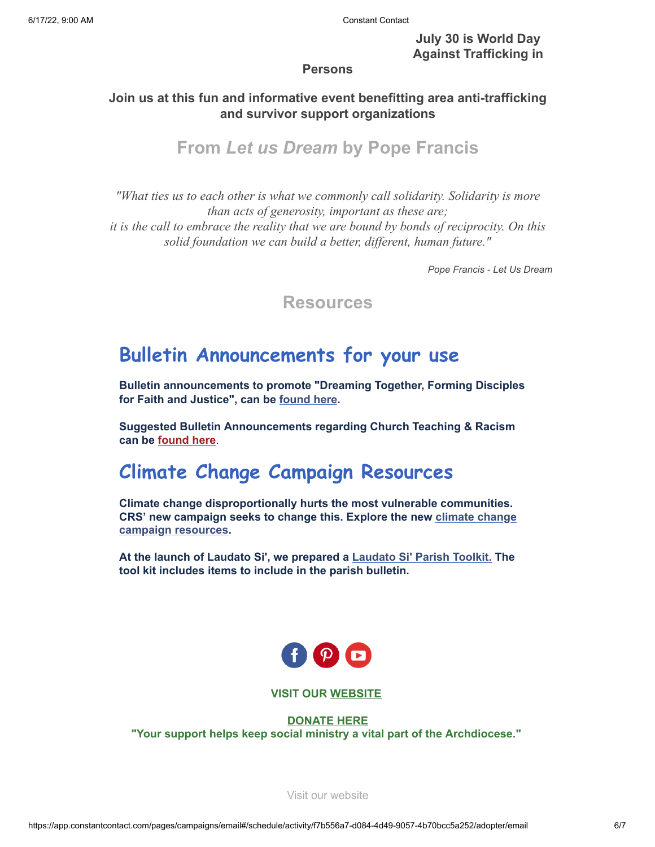**July 30 is World Day Against Trafficking in**

### **Persons**

### **Join us at this fun and informative event benefitting area anti-trafficking and survivor support organizations**

## **From** *Let us Dream* **by Pope Francis**

*"What ties us to each other is what we commonly call solidarity. Solidarity is more than acts of generosity, important as these are; it is the call to embrace the reality that we are bound by bonds of reciprocity. On this solid foundation we can build a better, different, human future."*

*Pope Francis - Let Us Dream*

**Resources**

# **Bulletin Announcements for your use**

**Bulletin announcements to promote "Dreaming Together, Forming Disciples for Faith and Justice", can be [found here.](https://files.constantcontact.com/eda3299a001/d06b5246-722a-464a-8c78-4192b1ee2101.docx?rdr=true)**

**Suggested Bulletin Announcements regarding Church Teaching & Racism can be [found here](https://files.constantcontact.com/eda3299a001/0cf034e3-eea9-4373-93ef-b39c0e6a1712.pdf?rdr=true)**.

# **Climate Change Campaign Resources**

**Climate change disproportionally hurts the most vulnerable communities. [CRS' new campaign seeks to change this. Explore the new](https://www.crs.org/get-involved/campaigns/climate-change) climate change campaign resources.**

**At the launch of Laudato Si', we prepared a [Laudato Si' Parish Toolkit.](http://www.catholicsocialjustice.org/laudato-si-resources.html) The tool kit includes items to include in the parish bulletin.**



### **VISIT OUR [WEBSITE](http://www.catholicsocialjustice.org/)**

**[DONATE HERE](https://www.trailblz.info/SocialJusticeMin/Donations.aspx?ver=2)**

**"Your support helps keep social ministry a vital part of the Archdiocese."**

[Visit our website](http://www.catholicsocialjustice.org/)